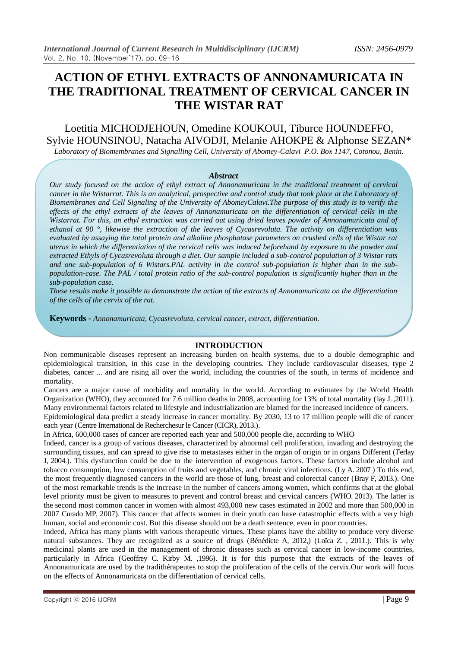# **ACTION OF ETHYL EXTRACTS OF ANNONAMURICATA IN THE TRADITIONAL TREATMENT OF CERVICAL CANCER IN THE WISTAR RAT**

Loetitia MICHODJEHOUN, Omedine KOUKOUI, Tiburce HOUNDEFFO, Sylvie HOUNSINOU, Natacha AIVODJI, Melanie AHOKPE & Alphonse SEZAN\*

*Laboratory of Biomembranes and Signalling Cell, University of Abomey-Calavi P.O. Box 1147, Cotonou, Benin.*

#### *Abstract*

*Our study focused on the action of ethyl extract of Annonamuricata in the traditional treatment of cervical cancer in the Wistarrat. This is an analytical, prospective and control study that took place at the Laboratory of Biomembranes and Cell Signaling of the University of AbomeyCalavi.The purpose of this study is to verify the effects of the ethyl extracts of the leaves of Annonamuricata on the differentiation of cervical cells in the Wistarrat. For this, an ethyl extraction was carried out using dried leaves powder of Annonamuricata and of ethanol at 90 °, likewise the extraction of the leaves of Cycasrevoluta. The activity on differentiation was evaluated by assaying the total protein and alkaline phosphatase parameters on crushed cells of the Wistar rat uterus in which the differentiation of the cervical cells was induced beforehand by exposure to the powder and extracted Ethyls of Cycasrevoluta through a diet. Our sample included a sub-control population of 3 Wistar rats and one sub-population of 6 Wistars.PAL activity in the control sub-population is higher than in the subpopulation-case. The PAL / total protein ratio of the sub-control population is significantly higher than in the sub-population case.* 

*These results make it possible to demonstrate the action of the extracts of Annonamuricata on the differentiation of the cells of the cervix of the rat.*

**Keywords -** *Annonamuricata, Cycasrevoluta, cervical cancer, extract, differentiation.*

#### **INTRODUCTION**

Non communicable diseases represent an increasing burden on health systems, due to a double demographic and epidemiological transition, in this case in the developing countries. They include cardiovascular diseases, type 2 diabetes, cancer ... and are rising all over the world, including the countries of the south, in terms of incidence and mortality.

Cancers are a major cause of morbidity and mortality in the world. According to estimates by the World Health Organization (WHO), they accounted for 7.6 million deaths in 2008, accounting for 13% of total mortality (lay J. ,2011). Many environmental factors related to lifestyle and industrialization are blamed for the increased incidence of cancers.

Epidemiological data predict a steady increase in cancer mortality. By 2030, 13 to 17 million people will die of cancer each year (Centre International de Recherchesur le Cancer (CICR), 2013.).

In Africa, 600,000 cases of cancer are reported each year and 500,000 people die, according to WHO

Indeed, cancer is a group of various diseases, characterized by abnormal cell proliferation, invading and destroying the surrounding tissues, and can spread to give rise to metastases either in the organ of origin or in organs Different (Ferlay J, 2004.). This dysfunction could be due to the intervention of exogenous factors. These factors include alcohol and tobacco consumption, low consumption of fruits and vegetables, and chronic viral infections. (Ly A. 2007 ) To this end, the most frequently diagnosed cancers in the world are those of lung, breast and colorectal cancer (Bray F, 2013.). One of the most remarkable trends is the increase in the number of cancers among women, which confirms that at the global level priority must be given to measures to prevent and control breast and cervical cancers (WHO. 2013). The latter is the second most common cancer in women with almost 493,000 new cases estimated in 2002 and more than 500,000 in 2007 Curado MP, 2007). This cancer that affects women in their youth can have catastrophic effects with a very high human, social and economic cost. But this disease should not be a death sentence, even in poor countries.

Indeed, Africa has many plants with various therapeutic virtues. These plants have the ability to produce very diverse natural substances. They are recognized as a source of drugs (Bénédicte A, 2012,) (Loïca Z. , 2011.). This is why medicinal plants are used in the management of chronic diseases such as cervical cancer in low-income countries, particularly in Africa (Geoffrey C. Kirby M. ,1996). It is for this purpose that the extracts of the leaves of Annonamuricata are used by the tradithérapeutes to stop the proliferation of the cells of the cervix.Our work will focus on the effects of Annonamuricata on the differentiation of cervical cells.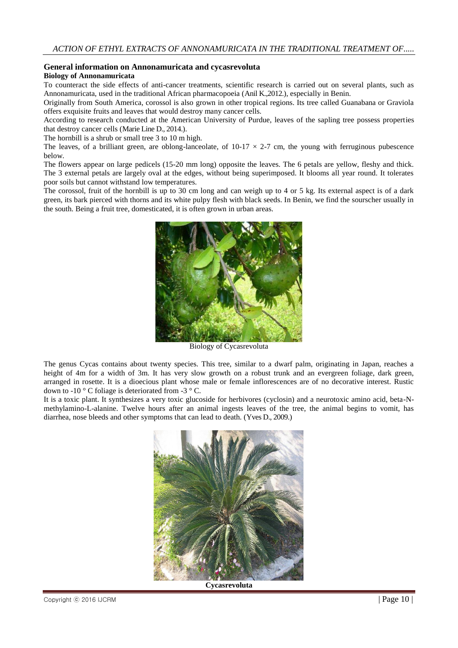# **General information on Annonamuricata and cycasrevoluta**

## **Biology of Annonamuricata**

To counteract the side effects of anti-cancer treatments, scientific research is carried out on several plants, such as Annonamuricata, used in the traditional African pharmacopoeia (Anil K.,2012.), especially in Benin.

Originally from South America, corossol is also grown in other tropical regions. Its tree called Guanabana or Graviola offers exquisite fruits and leaves that would destroy many cancer cells.

According to research conducted at the American University of Purdue, leaves of the sapling tree possess properties that destroy cancer cells (Marie Line D., 2014.).

The hornbill is a shrub or small tree 3 to 10 m high.

The leaves, of a brilliant green, are oblong-lanceolate, of  $10-17 \times 2-7$  cm, the young with ferruginous pubescence below.

The flowers appear on large pedicels (15-20 mm long) opposite the leaves. The 6 petals are yellow, fleshy and thick. The 3 external petals are largely oval at the edges, without being superimposed. It blooms all year round. It tolerates poor soils but cannot withstand low temperatures.

The corossol, fruit of the hornbill is up to 30 cm long and can weigh up to 4 or 5 kg. Its external aspect is of a dark green, its bark pierced with thorns and its white pulpy flesh with black seeds. In Benin, we find the sourscher usually in the south. Being a fruit tree, domesticated, it is often grown in urban areas.



Biology of Cycasrevoluta

The genus Cycas contains about twenty species. This tree, similar to a dwarf palm, originating in Japan, reaches a height of 4m for a width of 3m. It has very slow growth on a robust trunk and an evergreen foliage, dark green, arranged in rosette. It is a dioecious plant whose male or female inflorescences are of no decorative interest. Rustic down to -10  $\degree$  C foliage is deteriorated from -3  $\degree$  C.

It is a toxic plant. It synthesizes a very toxic glucoside for herbivores (cyclosin) and a neurotoxic amino acid, beta-Nmethylamino-L-alanine. Twelve hours after an animal ingests leaves of the tree, the animal begins to vomit, has diarrhea, nose bleeds and other symptoms that can lead to death. (Yves D., 2009.)



**Cycasrevoluta**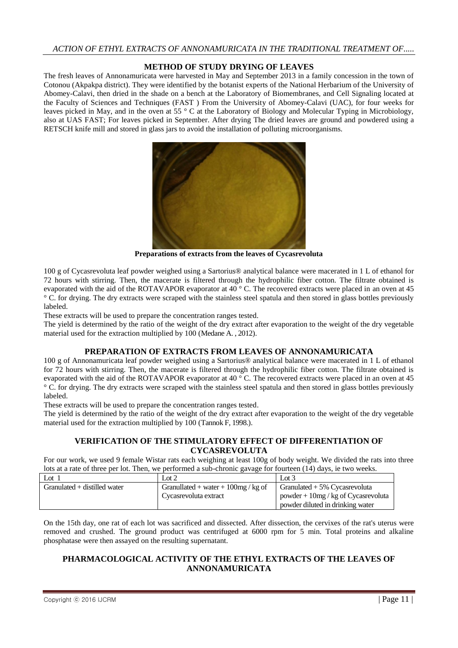# **METHOD OF STUDY DRYING OF LEAVES**

The fresh leaves of Annonamuricata were harvested in May and September 2013 in a family concession in the town of Cotonou (Akpakpa district). They were identified by the botanist experts of the National Herbarium of the University of Abomey-Calavi, then dried in the shade on a bench at the Laboratory of Biomembranes, and Cell Signaling located at the Faculty of Sciences and Techniques (FAST ) From the University of Abomey-Calavi (UAC), for four weeks for leaves picked in May, and in the oven at 55 ° C at the Laboratory of Biology and Molecular Typing in Microbiology, also at UAS FAST; For leaves picked in September. After drying The dried leaves are ground and powdered using a RETSCH knife mill and stored in glass jars to avoid the installation of polluting microorganisms.



**Preparations of extracts from the leaves of Cycasrevoluta**

100 g of Cycasrevoluta leaf powder weighed using a Sartorius® analytical balance were macerated in 1 L of ethanol for 72 hours with stirring. Then, the macerate is filtered through the hydrophilic fiber cotton. The filtrate obtained is evaporated with the aid of the ROTAVAPOR evaporator at 40 ° C. The recovered extracts were placed in an oven at 45 ° C. for drying. The dry extracts were scraped with the stainless steel spatula and then stored in glass bottles previously labeled.

These extracts will be used to prepare the concentration ranges tested.

The yield is determined by the ratio of the weight of the dry extract after evaporation to the weight of the dry vegetable material used for the extraction multiplied by 100 (Medane A. , 2012).

## **PREPARATION OF EXTRACTS FROM LEAVES OF ANNONAMURICATA**

100 g of Annonamuricata leaf powder weighed using a Sartorius® analytical balance were macerated in 1 L of ethanol for 72 hours with stirring. Then, the macerate is filtered through the hydrophilic fiber cotton. The filtrate obtained is evaporated with the aid of the ROTAVAPOR evaporator at 40 ° C. The recovered extracts were placed in an oven at 45 ° C. for drying. The dry extracts were scraped with the stainless steel spatula and then stored in glass bottles previously labeled.

These extracts will be used to prepare the concentration ranges tested.

The yield is determined by the ratio of the weight of the dry extract after evaporation to the weight of the dry vegetable material used for the extraction multiplied by 100 (Tannok F, 1998.).

# **VERIFICATION OF THE STIMULATORY EFFECT OF DIFFERENTIATION OF CYCASREVOLUTA**

For our work, we used 9 female Wistar rats each weighing at least 100g of body weight. We divided the rats into three lots at a rate of three per lot. Then, we performed a sub-chronic gavage for fourteen (14) days, ie two weeks.

| Lot                            | Lot 2                                 | Lot $3$                               |
|--------------------------------|---------------------------------------|---------------------------------------|
| Granulated $+$ distilled water | Granullated + water + $100mg$ / kg of | Granulated $+5\%$ Cycasrevoluta       |
|                                | Cycasrevoluta extract                 | powder + $10mg$ / kg of Cycasrevoluta |
|                                |                                       | powder diluted in drinking water      |

On the 15th day, one rat of each lot was sacrificed and dissected. After dissection, the cervixes of the rat's uterus were removed and crushed. The ground product was centrifuged at 6000 rpm for 5 min. Total proteins and alkaline phosphatase were then assayed on the resulting supernatant.

# **PHARMACOLOGICAL ACTIVITY OF THE ETHYL EXTRACTS OF THE LEAVES OF ANNONAMURICATA**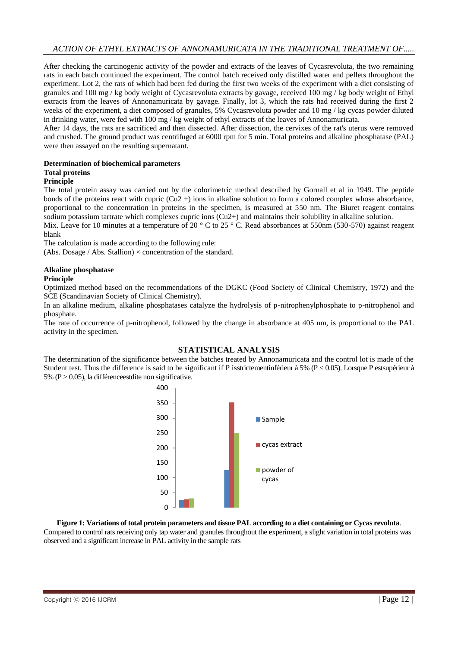After checking the carcinogenic activity of the powder and extracts of the leaves of Cycasrevoluta, the two remaining rats in each batch continued the experiment. The control batch received only distilled water and pellets throughout the experiment. Lot 2, the rats of which had been fed during the first two weeks of the experiment with a diet consisting of granules and 100 mg / kg body weight of Cycasrevoluta extracts by gavage, received 100 mg / kg body weight of Ethyl extracts from the leaves of Annonamuricata by gavage. Finally, lot 3, which the rats had received during the first 2 weeks of the experiment, a diet composed of granules, 5% Cycasrevoluta powder and 10 mg / kg cycas powder diluted in drinking water, were fed with 100 mg / kg weight of ethyl extracts of the leaves of Annonamuricata.

After 14 days, the rats are sacrificed and then dissected. After dissection, the cervixes of the rat's uterus were removed and crushed. The ground product was centrifuged at 6000 rpm for 5 min. Total proteins and alkaline phosphatase (PAL) were then assayed on the resulting supernatant.

## **Determination of biochemical parameters**

# **Total proteins**

## **Principle**

The total protein assay was carried out by the colorimetric method described by Gornall et al in 1949. The peptide bonds of the proteins react with cupric  $(Cu2 +)$  ions in alkaline solution to form a colored complex whose absorbance, proportional to the concentration In proteins in the specimen, is measured at 550 nm. The Biuret reagent contains sodium potassium tartrate which complexes cupric ions (Cu2+) and maintains their solubility in alkaline solution.

Mix. Leave for 10 minutes at a temperature of 20 ° C to 25 ° C. Read absorbances at 550nm (530-570) against reagent blank

The calculation is made according to the following rule:

(Abs. Dosage / Abs. Stallion)  $\times$  concentration of the standard.

#### **Alkaline phosphatase Principle**

Optimized method based on the recommendations of the DGKC (Food Society of Clinical Chemistry, 1972) and the SCE (Scandinavian Society of Clinical Chemistry).

In an alkaline medium, alkaline phosphatases catalyze the hydrolysis of p-nitrophenylphosphate to p-nitrophenol and phosphate.

The rate of occurrence of p-nitrophenol, followed by the change in absorbance at 405 nm, is proportional to the PAL activity in the specimen.

## **STATISTICAL ANALYSIS**

The determination of the significance between the batches treated by Annonamuricata and the control lot is made of the Student test. Thus the difference is said to be significant if P isstrictementinférieur à 5% ( $P < 0.05$ ). Lorsque P estsupérieur à 5% ( $P > 0.05$ ), la différence estdite non significative.



#### **Figure 1: Variations of total protein parameters and tissue PAL according to a diet containing or Cycas revoluta**.

Compared to control rats receiving only tap water and granules throughout the experiment, a slight variation in total proteins was observed and a significant increase in PAL activity in the sample rats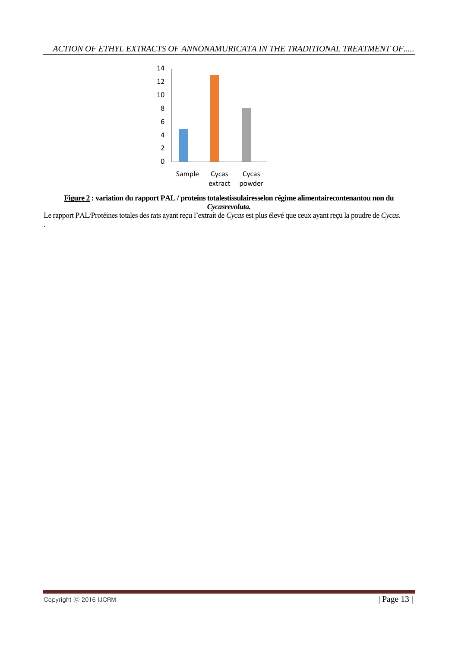

**Figure 2 : variation du rapport PAL / proteins totalestissulairesselon régime alimentairecontenantou non du**  *Cycasrevoluta.*

Le rapport PAL/Protéines totales des rats ayant reçu l'extrait de *Cycas* est plus élevé que ceux ayant reçu la poudre de *Cycas*.

.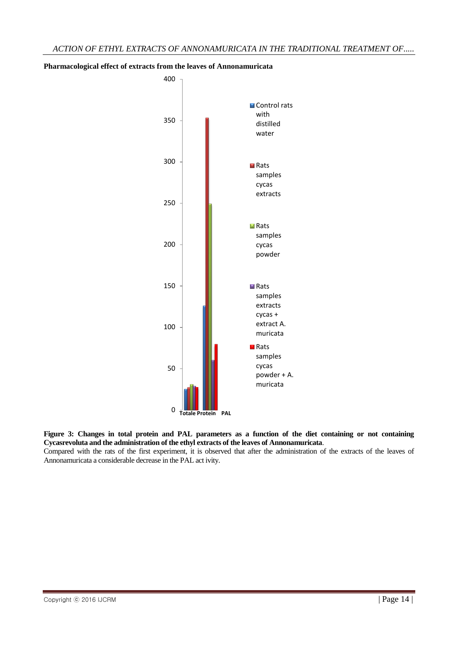

## **Pharmacological effect of extracts from the leaves of Annonamuricata**

**Figure 3: Changes in total protein and PAL parameters as a function of the diet containing or not containing Cycasrevoluta and the administration of the ethyl extracts of the leaves of Annonamuricata**.

Compared with the rats of the first experiment, it is observed that after the administration of the extracts of the leaves of Annonamuricata a considerable decrease in the PAL act ivity.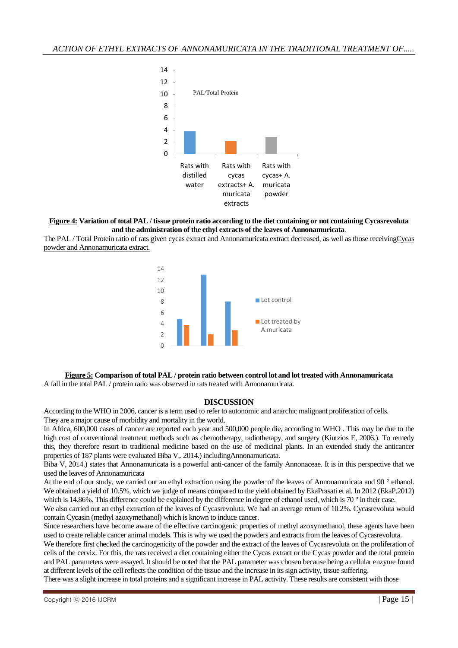

#### **Figure 4: Variation of total PAL / tissue protein ratio according to the diet containing or not containing Cycasrevoluta and the administration of the ethyl extracts of the leaves of Annonamuricata**.

The PAL / Total Protein ratio of rats given cycas extract and Annonamuricata extract decreased, as well as those receivingCycas powder and Annonamuricata extract.



#### **Figure 5: Comparison of total PAL / protein ratio between control lot and lot treated with Annonamuricata** A fall in the total PAL / protein ratio was observed in rats treated with Annonamuricata.

#### **DISCUSSION**

According to the WHO in 2006, cancer is a term used to refer to autonomic and anarchic malignant proliferation of cells. They are a major cause of morbidity and mortality in the world.

In Africa, 600,000 cases of cancer are reported each year and 500,000 people die, according to WHO . This may be due to the high cost of conventional treatment methods such as chemotherapy, radiotherapy, and surgery (Kintzios E, 2006.). To remedy this, they therefore resort to traditional medicine based on the use of medicinal plants. In an extended study the anticancer properties of 187 plants were evaluated Biba V,. 2014.) includingAnnonamuricata.

Biba V, 2014.) states that Annonamuricata is a powerful anti-cancer of the family Annonaceae. It is in this perspective that we used the leaves of Annonamuricata

At the end of our study, we carried out an ethyl extraction using the powder of the leaves of Annonamuricata and 90 ° ethanol. We obtained a yield of 10.5%, which we judge of means compared to the yield obtained by EkaPrasati et al. In 2012 (EkaP,2012) which is 14.86%. This difference could be explained by the difference in degree of ethanol used, which is 70 ° in their case.

We also carried out an ethyl extraction of the leaves of Cycasrevoluta. We had an average return of 10.2%. Cycasrevoluta would contain Cycasin (methyl azoxymethanol) which is known to induce cancer.

Since researchers have become aware of the effective carcinogenic properties of methyl azoxymethanol, these agents have been used to create reliable cancer animal models. This is why we used the powders and extracts from the leaves of Cycasrevoluta.

We therefore first checked the carcinogenicity of the powder and the extract of the leaves of Cycasrevoluta on the proliferation of cells of the cervix. For this, the rats received a diet containing either the Cycas extract or the Cycas powder and the total protein and PAL parameters were assayed. It should be noted that the PAL parameter was chosen because being a cellular enzyme found at different levels of the cell reflects the condition of the tissue and the increase in its sign activity, tissue suffering.

There was a slight increase in total proteins and a significant increase in PAL activity. These results are consistent with those